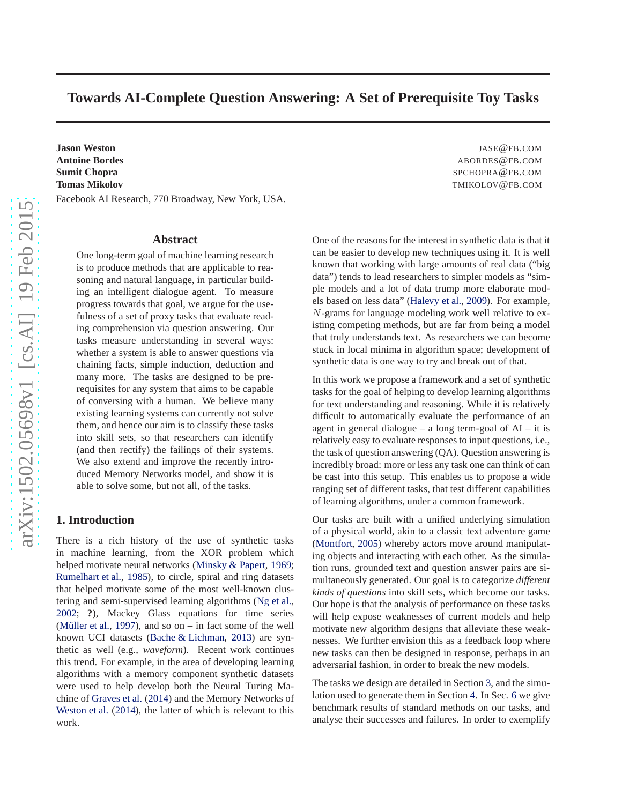# **Towards AI-Complete Question Answering: A Set of Prerequisite Toy Tasks**

**Jason Weston** JASE@FB.COM **Antoine Bordes ABORDES BLCOM Sumit Chopra** SPCHOPRA@FB.COM **Tomas Mikolov And TMIKOLOV @FB.COM** Facebook AI Research, 770 Broadway, New York, USA.

#### **Abstract**

One long-term goal of machine learning research is to produce methods that are applicable to reasoning and natural language, in particular building an intelligent dialogue agent. To measure progress towards that goal, we argue for the usefulness of a set of proxy tasks that evaluate reading comprehension via question answering. Our tasks measure understanding in several ways: whether a system is able to answer questions via chaining facts, simple induction, deduction and many more. The tasks are designed to be prerequisites for any system that aims to be capable of conversing with a human. We believe many existing learning systems can currently not solve them, and hence our aim is to classify these tasks into skill sets, so that researchers can identify (and then rectify) the failings of their systems. We also extend and improve the recently introduced Memory Networks model, and show it is able to solve some, but not all, of the tasks.

## **1. Introduction**

There is a rich history of the use of synthetic tasks in machine learning, from the XOR problem which helped motivate neural networks [\(Minsky & Papert](#page-8-0), [1969;](#page-8-0) [Rumelhart et al.](#page-8-0), [1985\)](#page-8-0), to circle, spiral and ring datasets that helped motivate some of the most well-known clustering and semi-supervised learning algorithms [\(Ng et al.,](#page-8-0) [2002;](#page-8-0) **?**), Mackey Glass equations for time series (Müller et al., [1997](#page-8-0)), and so on – in fact some of the well known UCI datasets [\(Bache & Lichman,](#page-8-0) [2013\)](#page-8-0) are synthetic as well (e.g., *waveform*). Recent work continues this trend. For example, in the area of developing learning algorithms with a memory component synthetic datasets were used to help develop both the Neural Turing Machine of [Graves et al.](#page-8-0) [\(2014\)](#page-8-0) and the Memory Networks of [Weston et al.](#page-8-0) [\(2014\)](#page-8-0), the latter of which is relevant to this work.

One of the reasons for the interest in synthetic data is that it can be easier to develop new techniques using it. It is well known that working with large amounts of real data ("big data") tends to lead researchers to simpler models as "simple models and a lot of data trump more elaborate models based on less data" [\(Halevy et al.](#page-8-0), [2009\)](#page-8-0). For example, N-grams for language modeling work well relative to existing competing methods, but are far from being a model that truly understands text. As researchers we can become stuck in local minima in algorithm space; development of synthetic data is one way to try and break out of that.

In this work we propose a framework and a set of synthetic tasks for the goal of helping to develop learning algorithms for text understanding and reasoning. While it is relatively difficult to automatically evaluate the performance of an agent in general dialogue – a long term-goal of  $AI - it$  is relatively easy to evaluate responses to input questions, i.e., the task of question answering (QA). Question answering is incredibly broad: more or less any task one can think of can be cast into this setup. This enables us to propose a wide ranging set of different tasks, that test different capabilities of learning algorithms, under a common framework.

Our tasks are built with a unified underlying simulation of a physical world, akin to a classic text adventure game [\(Montfort,](#page-8-0) [2005](#page-8-0)) whereby actors move around manipulating objects and interacting with each other. As the simulation runs, grounded text and question answer pairs are simultaneously generated. Our goal is to categorize *different kinds of questions* into skill sets, which become our tasks. Our hope is that the analysis of performance on these tasks will help expose weaknesses of current models and help motivate new algorithm designs that alleviate these weaknesses. We further envision this as a feedback loop where new tasks can then be designed in response, perhaps in an adversarial fashion, in order to break the new models.

The tasks we design are detailed in Section [3,](#page-1-0) and the simulation used to generate them in Section [4.](#page-4-0) In Sec. [6](#page-7-0) we give benchmark results of standard methods on our tasks, and analyse their successes and failures. In order to exemplify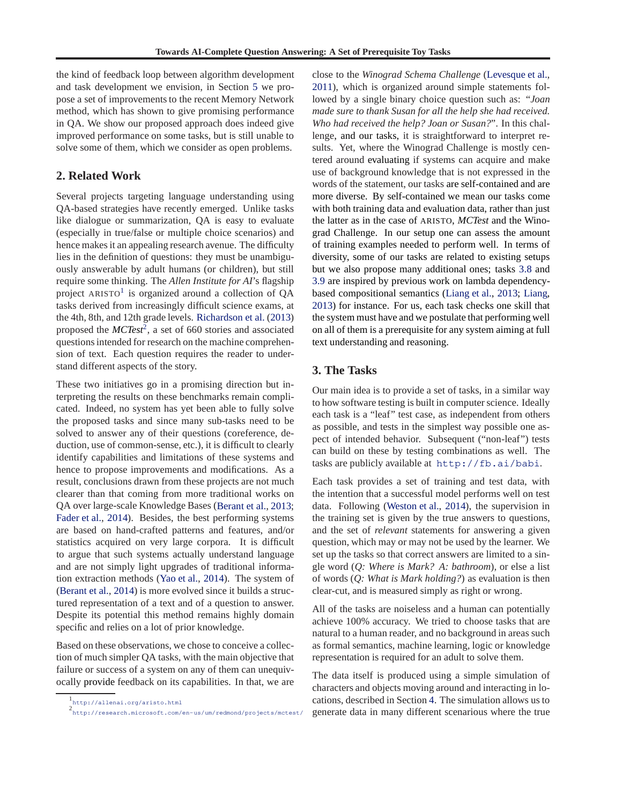<span id="page-1-0"></span>the kind of feedback loop between algorithm development and task development we envision, in Section [5](#page-4-0) we propose a set of improvements to the recent Memory Network method, which has shown to give promising performance in QA. We show our proposed approach does indeed give improved performance on some tasks, but is still unable to solve some of them, which we consider as open problems.

# **2. Related Work**

Several projects targeting language understanding using QA-based strategies have recently emerged. Unlike tasks like dialogue or summarization, QA is easy to evaluate (especially in true/false or multiple choice scenarios) and hence makes it an appealing research avenue. The difficulty lies in the definition of questions: they must be unambiguously answerable by adult humans (or children), but still require some thinking. The *Allen Institute for AI*'s flagship project ARISTO<sup>1</sup> is organized around a collection of QA tasks derived from increasingly difficult science exams, at the 4th, 8th, and 12th grade levels. [Richardson et al.](#page-8-0) [\(2013](#page-8-0)) proposed the *MCTest*<sup>2</sup> , a set of 660 stories and associated questions intended for research on the machine comprehension of text. Each question requires the reader to understand different aspects of the story.

These two initiatives go in a promising direction but interpreting the results on these benchmarks remain complicated. Indeed, no system has yet been able to fully solve the proposed tasks and since many sub-tasks need to be solved to answer any of their questions (coreference, deduction, use of common-sense, etc.), it is difficult to clearly identify capabilities and limitations of these systems and hence to propose improvements and modifications. As a result, conclusions drawn from these projects are not much clearer than that coming from more traditional works on QA over large-scale Knowledge Bases [\(Berant et al.](#page-8-0), [2013;](#page-8-0) [Fader et al.,](#page-8-0) [2014\)](#page-8-0). Besides, the best performing systems are based on hand-crafted patterns and features, and/or statistics acquired on very large corpora. It is difficult to argue that such systems actually understand language and are not simply light upgrades of traditional information extraction methods [\(Yao et al.,](#page-8-0) [2014\)](#page-8-0). The system of [\(Berant et al.](#page-8-0), [2014](#page-8-0)) is more evolved since it builds a structured representation of a text and of a question to answer. Despite its potential this method remains highly domain specific and relies on a lot of prior knowledge.

Based on these observations, we chose to conceive a collection of much simpler QA tasks, with the main objective that failure or success of a system on any of them can unequivocally provide feedback on its capabilities. In that, we are close to the *Winograd Schema Challenge* [\(Levesque et al.,](#page-8-0) [2011\)](#page-8-0), which is organized around simple statements followed by a single binary choice question such as: "*Joan made sure to thank Susan for all the help she had received. Who had received the help? Joan or Susan?*". In this challenge, and our tasks, it is straightforward to interpret results. Yet, where the Winograd Challenge is mostly centered around evaluating if systems can acquire and make use of background knowledge that is not expressed in the words of the statement, our tasks are self-contained and are more diverse. By self-contained we mean our tasks come with both training data and evaluation data, rather than just the latter as in the case of ARISTO, *MCTest* and the Winograd Challenge. In our setup one can assess the amount of training examples needed to perform well. In terms of diversity, some of our tasks are related to existing setups but we also propose many additional ones; tasks [3.8](#page-2-0) and [3.9](#page-3-0) are inspired by previous work on lambda dependencybased compositional semantics [\(Liang et al.](#page-8-0), [2013;](#page-8-0) [Liang,](#page-8-0) [2013\)](#page-8-0) for instance. For us, each task checks one skill that the system must have and we postulate that performing well on all of them is a prerequisite for any system aiming at full text understanding and reasoning.

# **3. The Tasks**

Our main idea is to provide a set of tasks, in a similar way to how software testing is built in computer science. Ideally each task is a "leaf" test case, as independent from others as possible, and tests in the simplest way possible one aspect of intended behavior. Subsequent ("non-leaf") tests can build on these by testing combinations as well. The tasks are publicly available at <http://fb.ai/babi>.

Each task provides a set of training and test data, with the intention that a successful model performs well on test data. Following [\(Weston et al.](#page-8-0), [2014\)](#page-8-0), the supervision in the training set is given by the true answers to questions, and the set of *relevant* statements for answering a given question, which may or may not be used by the learner. We set up the tasks so that correct answers are limited to a single word (*Q: Where is Mark? A: bathroom*), or else a list of words (*Q: What is Mark holding?*) as evaluation is then clear-cut, and is measured simply as right or wrong.

All of the tasks are noiseless and a human can potentially achieve 100% accuracy. We tried to choose tasks that are natural to a human reader, and no background in areas such as formal semantics, machine learning, logic or knowledge representation is required for an adult to solve them.

The data itself is produced using a simple simulation of characters and objects moving around and interacting in locations, described in Section [4.](#page-4-0) The simulation allows us to generate data in many different scenarious where the true

<sup>1</sup> <http://allenai.org/aristo.html>

<sup>2</sup> <http://research.microsoft.com/en-us/um/redmond/projects/mctest/>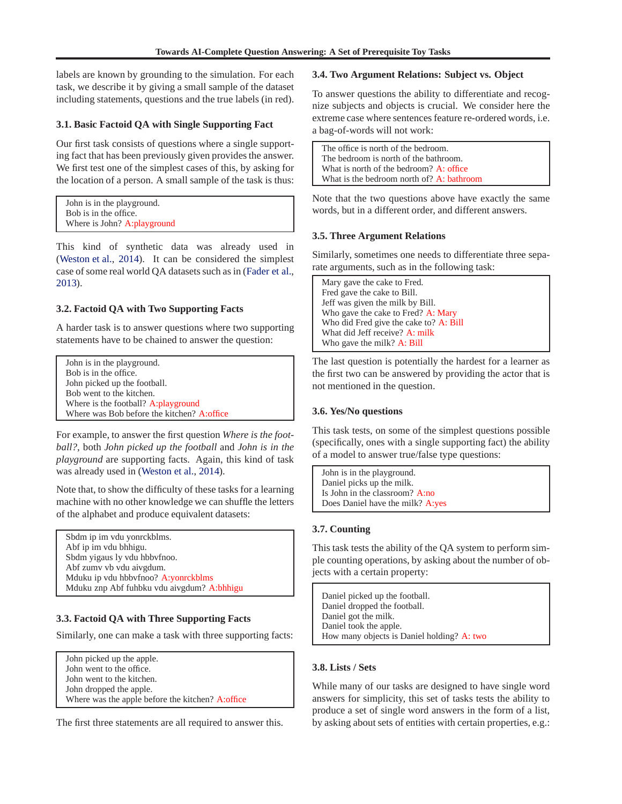<span id="page-2-0"></span>labels are known by grounding to the simulation. For each task, we describe it by giving a small sample of the dataset including statements, questions and the true labels (in red).

## **3.1. Basic Factoid QA with Single Supporting Fact**

Our first task consists of questions where a single supporting fact that has been previously given provides the answer. We first test one of the simplest cases of this, by asking for the location of a person. A small sample of the task is thus:

| John is in the playground.  |  |
|-----------------------------|--|
| Bob is in the office.       |  |
| Where is John? A:playground |  |

This kind of synthetic data was already used in [\(Weston et al.](#page-8-0), [2014\)](#page-8-0). It can be considered the simplest case of some real world QA datasets such as in [\(Fader et al.,](#page-8-0) [2013\)](#page-8-0).

## **3.2. Factoid QA with Two Supporting Facts**

A harder task is to answer questions where two supporting statements have to be chained to answer the question:

John is in the playground. Bob is in the office. John picked up the football. Bob went to the kitchen. Where is the football? A:playground Where was Bob before the kitchen? A:office

For example, to answer the first question *Where is the football?*, both *John picked up the football* and *John is in the playground* are supporting facts. Again, this kind of task was already used in [\(Weston et al.,](#page-8-0) [2014\)](#page-8-0).

Note that, to show the difficulty of these tasks for a learning machine with no other knowledge we can shuffle the letters of the alphabet and produce equivalent datasets:

Sbdm ip im vdu yonrckblms. Abf ip im vdu bhhigu. Sbdm yigaus ly vdu hbbvfnoo. Abf zumv vb vdu aivgdum. Mduku ip vdu hbbvfnoo? A:yonrckblms Mduku znp Abf fuhbku vdu aivgdum? A:bhhigu

# **3.3. Factoid QA with Three Supporting Facts**

Similarly, one can make a task with three supporting facts:

John picked up the apple. John went to the office. John went to the kitchen. John dropped the apple. Where was the apple before the kitchen? A:office

The first three statements are all required to answer this.

## **3.4. Two Argument Relations: Subject vs. Object**

To answer questions the ability to differentiate and recognize subjects and objects is crucial. We consider here the extreme case where sentences feature re-ordered words, i.e. a bag-of-words will not work:

The office is north of the bedroom. The bedroom is north of the bathroom. What is north of the bedroom? A: office What is the bedroom north of? A: bathroom

Note that the two questions above have exactly the same words, but in a different order, and different answers.

#### **3.5. Three Argument Relations**

Similarly, sometimes one needs to differentiate three separate arguments, such as in the following task:

Mary gave the cake to Fred. Fred gave the cake to Bill. Jeff was given the milk by Bill. Who gave the cake to Fred? A: Mary Who did Fred give the cake to? A: Bill What did Jeff receive? A: milk Who gave the milk? A: Bill

The last question is potentially the hardest for a learner as the first two can be answered by providing the actor that is not mentioned in the question.

# **3.6. Yes/No questions**

This task tests, on some of the simplest questions possible (specifically, ones with a single supporting fact) the ability of a model to answer true/false type questions:

John is in the playground. Daniel picks up the milk. Is John in the classroom? A:no Does Daniel have the milk? A:yes

# **3.7. Counting**

This task tests the ability of the QA system to perform simple counting operations, by asking about the number of objects with a certain property:

Daniel picked up the football. Daniel dropped the football. Daniel got the milk. Daniel took the apple. How many objects is Daniel holding? A: two

# **3.8. Lists / Sets**

While many of our tasks are designed to have single word answers for simplicity, this set of tasks tests the ability to produce a set of single word answers in the form of a list, by asking about sets of entities with certain properties, e.g.: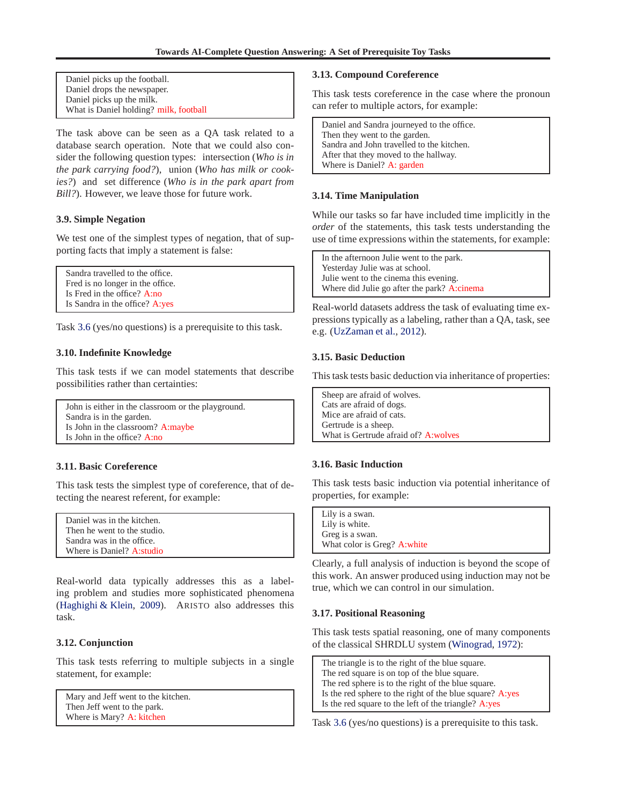<span id="page-3-0"></span>Daniel picks up the football. Daniel drops the newspaper. Daniel picks up the milk. What is Daniel holding? milk, football

The task above can be seen as a QA task related to a database search operation. Note that we could also consider the following question types: intersection (*Who is in the park carrying food?*), union (*Who has milk or cookies?*) and set difference (*Who is in the park apart from Bill?*). However, we leave those for future work.

## **3.9. Simple Negation**

We test one of the simplest types of negation, that of supporting facts that imply a statement is false:

```
Sandra travelled to the office.
Fred is no longer in the office.
Is Fred in the office? A:no
Is Sandra in the office? A:yes
```
Task [3.6](#page-2-0) (yes/no questions) is a prerequisite to this task.

#### **3.10. Indefinite Knowledge**

This task tests if we can model statements that describe possibilities rather than certainties:

John is either in the classroom or the playground. Sandra is in the garden. Is John in the classroom? A:maybe Is John in the office? A:no

## **3.11. Basic Coreference**

This task tests the simplest type of coreference, that of detecting the nearest referent, for example:

| Daniel was in the kitchen.  |  |
|-----------------------------|--|
| Then he went to the studio. |  |
| Sandra was in the office.   |  |
| Where is Daniel? A:studio   |  |

Real-world data typically addresses this as a labeling problem and studies more sophisticated phenomena [\(Haghighi & Klein,](#page-8-0) [2009\)](#page-8-0). ARISTO also addresses this task.

## **3.12. Conjunction**

This task tests referring to multiple subjects in a single statement, for example:

```
Mary and Jeff went to the kitchen.
Then Jeff went to the park.
Where is Mary? A: kitchen
```
#### **3.13. Compound Coreference**

This task tests coreference in the case where the pronoun can refer to multiple actors, for example:

Daniel and Sandra journeyed to the office. Then they went to the garden. Sandra and John travelled to the kitchen. After that they moved to the hallway. Where is Daniel? A: garden

#### **3.14. Time Manipulation**

While our tasks so far have included time implicitly in the *order* of the statements, this task tests understanding the use of time expressions within the statements, for example:

In the afternoon Julie went to the park. Yesterday Julie was at school. Julie went to the cinema this evening. Where did Julie go after the park? A:cinema

Real-world datasets address the task of evaluating time expressions typically as a labeling, rather than a QA, task, see e.g. [\(UzZaman et al.](#page-8-0), [2012](#page-8-0)).

## **3.15. Basic Deduction**

This task tests basic deduction via inheritance of properties:

| Sheep are afraid of wolves.           |
|---------------------------------------|
| Cats are afraid of dogs.              |
| Mice are afraid of cats.              |
| Gertrude is a sheep.                  |
| What is Gertrude afraid of? A: wolves |

#### **3.16. Basic Induction**

This task tests basic induction via potential inheritance of properties, for example:

| Lily is a swan.              |  |
|------------------------------|--|
| Lily is white.               |  |
| Greg is a swan.              |  |
| What color is Greg? A: white |  |

Clearly, a full analysis of induction is beyond the scope of this work. An answer produced using induction may not be true, which we can control in our simulation.

#### **3.17. Positional Reasoning**

This task tests spatial reasoning, one of many components of the classical SHRDLU system [\(Winograd,](#page-8-0) [1972\)](#page-8-0):

The triangle is to the right of the blue square. The red square is on top of the blue square. The red sphere is to the right of the blue square. Is the red sphere to the right of the blue square? A:yes Is the red square to the left of the triangle? A:yes

Task [3.6](#page-2-0) (yes/no questions) is a prerequisite to this task.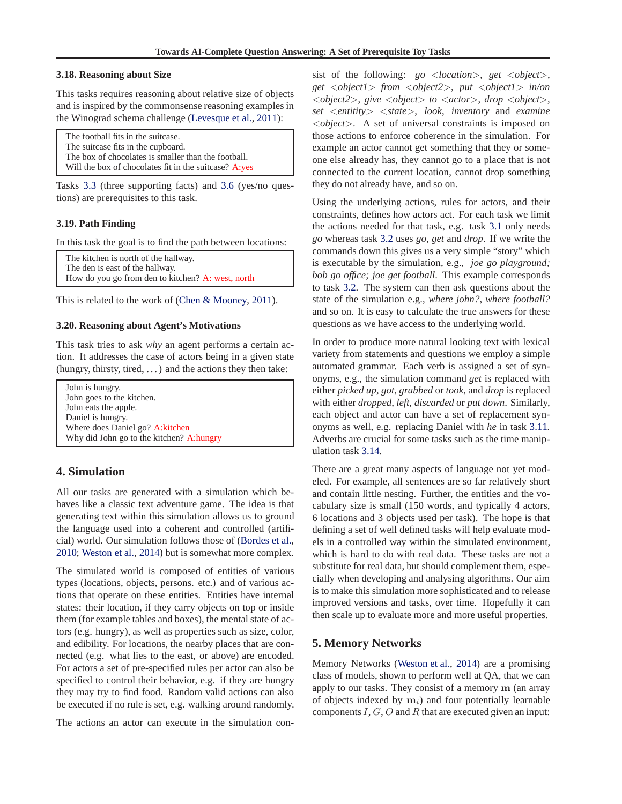#### <span id="page-4-0"></span>**3.18. Reasoning about Size**

This tasks requires reasoning about relative size of objects and is inspired by the commonsense reasoning examples in the Winograd schema challenge [\(Levesque et al.](#page-8-0), [2011\)](#page-8-0):

The football fits in the suitcase. The suitcase fits in the cupboard. The box of chocolates is smaller than the football. Will the box of chocolates fit in the suitcase? A:yes

Tasks [3.3](#page-2-0) (three supporting facts) and [3.6](#page-2-0) (yes/no questions) are prerequisites to this task.

#### **3.19. Path Finding**

In this task the goal is to find the path between locations:

The kitchen is north of the hallway. The den is east of the hallway. How do you go from den to kitchen? A: west, north

This is related to the work of [\(Chen & Mooney](#page-8-0), [2011\)](#page-8-0).

#### **3.20. Reasoning about Agent's Motivations**

This task tries to ask *why* an agent performs a certain action. It addresses the case of actors being in a given state (hungry, thirsty, tired, . . . ) and the actions they then take:

John is hungry. John goes to the kitchen. John eats the apple. Daniel is hungry. Where does Daniel go? A:kitchen Why did John go to the kitchen? A:hungry

# **4. Simulation**

All our tasks are generated with a simulation which behaves like a classic text adventure game. The idea is that generating text within this simulation allows us to ground the language used into a coherent and controlled (artificial) world. Our simulation follows those of [\(Bordes et al.,](#page-8-0) [2010;](#page-8-0) [Weston et al.](#page-8-0), [2014](#page-8-0)) but is somewhat more complex.

The simulated world is composed of entities of various types (locations, objects, persons. etc.) and of various actions that operate on these entities. Entities have internal states: their location, if they carry objects on top or inside them (for example tables and boxes), the mental state of actors (e.g. hungry), as well as properties such as size, color, and edibility. For locations, the nearby places that are connected (e.g. what lies to the east, or above) are encoded. For actors a set of pre-specified rules per actor can also be specified to control their behavior, e.g. if they are hungry they may try to find food. Random valid actions can also be executed if no rule is set, e.g. walking around randomly.

The actions an actor can execute in the simulation con-

sist of the following: *go* <*location*>, *get* <*object*>, *get* <*object1*> *from* <*object2*>, *put* <*object1*> *in/on* <*object2*>, *give* <*object*> *to* <*actor*>, *drop* <*object*>, *set* <*entitity*> <*state*>, *look*, *inventory* and *examine* <*object*>. A set of universal constraints is imposed on those actions to enforce coherence in the simulation. For example an actor cannot get something that they or someone else already has, they cannot go to a place that is not connected to the current location, cannot drop something they do not already have, and so on.

Using the underlying actions, rules for actors, and their constraints, defines how actors act. For each task we limit the actions needed for that task, e.g. task [3.1](#page-2-0) only needs *go* whereas task [3.2](#page-2-0) uses *go*, *get* and *drop*. If we write the commands down this gives us a very simple "story" which is executable by the simulation, e.g., *joe go playground; bob go office; joe get football*. This example corresponds to task [3.2.](#page-2-0) The system can then ask questions about the state of the simulation e.g., *where john?*, *where football?* and so on. It is easy to calculate the true answers for these questions as we have access to the underlying world.

In order to produce more natural looking text with lexical variety from statements and questions we employ a simple automated grammar. Each verb is assigned a set of synonyms, e.g., the simulation command *get* is replaced with either *picked up*, *got*, *grabbed* or *took*, and *drop* is replaced with either *dropped*, *left*, *discarded* or *put down*. Similarly, each object and actor can have a set of replacement synonyms as well, e.g. replacing Daniel with *he* in task [3.11.](#page-3-0) Adverbs are crucial for some tasks such as the time manipulation task [3.14.](#page-3-0)

There are a great many aspects of language not yet modeled. For example, all sentences are so far relatively short and contain little nesting. Further, the entities and the vocabulary size is small (150 words, and typically 4 actors, 6 locations and 3 objects used per task). The hope is that defining a set of well defined tasks will help evaluate models in a controlled way within the simulated environment, which is hard to do with real data. These tasks are not a substitute for real data, but should complement them, especially when developing and analysing algorithms. Our aim is to make this simulation more sophisticated and to release improved versions and tasks, over time. Hopefully it can then scale up to evaluate more and more useful properties.

# **5. Memory Networks**

Memory Networks [\(Weston et al.](#page-8-0), [2014\)](#page-8-0) are a promising class of models, shown to perform well at QA, that we can apply to our tasks. They consist of a memory m (an array of objects indexed by  $m_i$ ) and four potentially learnable components  $I, G, O$  and R that are executed given an input: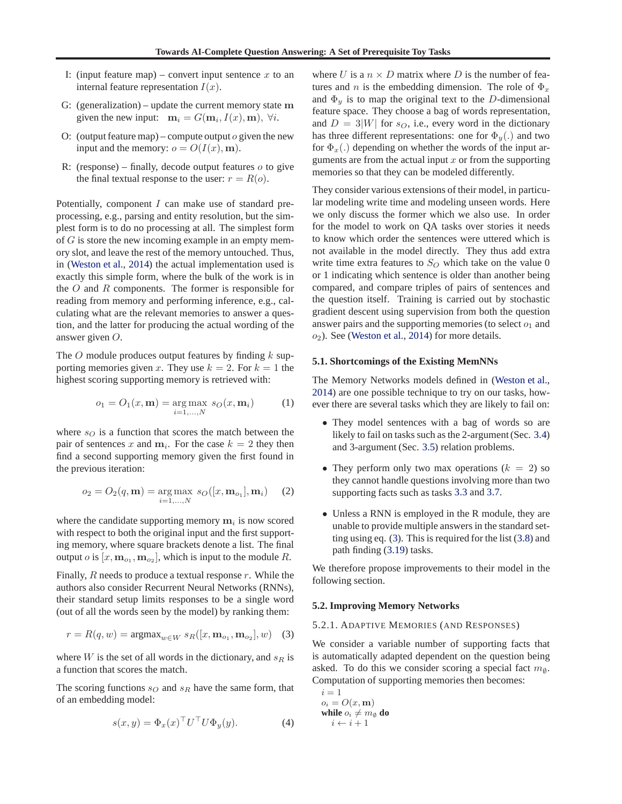- <span id="page-5-0"></span>I: (input feature map) – convert input sentence x to an internal feature representation  $I(x)$ .
- G: (generalization) update the current memory state m given the new input:  $\mathbf{m}_i = G(\mathbf{m}_i, I(x), \mathbf{m}), \ \forall i$ .
- O: (output feature map) compute output  $\alpha$  given the new input and the memory:  $o = O(I(x), m)$ .
- R: (response) finally, decode output features  $o$  to give the final textual response to the user:  $r = R(o)$ .

Potentially, component I can make use of standard preprocessing, e.g., parsing and entity resolution, but the simplest form is to do no processing at all. The simplest form of  $G$  is store the new incoming example in an empty memory slot, and leave the rest of the memory untouched. Thus, in [\(Weston et al.](#page-8-0), [2014\)](#page-8-0) the actual implementation used is exactly this simple form, where the bulk of the work is in the  $O$  and  $R$  components. The former is responsible for reading from memory and performing inference, e.g., calculating what are the relevant memories to answer a question, and the latter for producing the actual wording of the answer given O.

The  $O$  module produces output features by finding  $k$  supporting memories given x. They use  $k = 2$ . For  $k = 1$  the highest scoring supporting memory is retrieved with:

$$
o_1 = O_1(x, \mathbf{m}) = \underset{i=1,...,N}{\text{arg max}} \ s_O(x, \mathbf{m}_i) \tag{1}
$$

where  $s_O$  is a function that scores the match between the pair of sentences x and  $m_i$ . For the case  $k = 2$  they then find a second supporting memory given the first found in the previous iteration:

$$
o_2 = O_2(q, \mathbf{m}) = \underset{i=1,...,N}{\arg \max} \ s_O([x, \mathbf{m}_{o_1}], \mathbf{m}_i) \quad (2)
$$

where the candidate supporting memory  $m_i$  is now scored with respect to both the original input and the first supporting memory, where square brackets denote a list. The final output *o* is  $[x, m_{o_1}, m_{o_2}]$ , which is input to the module R.

Finally,  $R$  needs to produce a textual response  $r$ . While the authors also consider Recurrent Neural Networks (RNNs), their standard setup limits responses to be a single word (out of all the words seen by the model) by ranking them:

$$
r = R(q, w) = \operatorname{argmax}_{w \in W} s_R([x, \mathbf{m}_{o_1}, \mathbf{m}_{o_2}], w)
$$
 (3)

where  $W$  is the set of all words in the dictionary, and  $s_R$  is a function that scores the match.

The scoring functions  $s<sub>O</sub>$  and  $s<sub>R</sub>$  have the same form, that of an embedding model:

$$
s(x, y) = \Phi_x(x)^\top U^\top U \Phi_y(y). \tag{4}
$$

where U is a  $n \times D$  matrix where D is the number of features and *n* is the embedding dimension. The role of  $\Phi_x$ and  $\Phi_y$  is to map the original text to the D-dimensional feature space. They choose a bag of words representation, and  $D = 3|W|$  for  $s_O$ , i.e., every word in the dictionary has three different representations: one for  $\Phi_u(.)$  and two for  $\Phi_x$ .) depending on whether the words of the input arguments are from the actual input  $x$  or from the supporting memories so that they can be modeled differently.

They consider various extensions of their model, in particular modeling write time and modeling unseen words. Here we only discuss the former which we also use. In order for the model to work on QA tasks over stories it needs to know which order the sentences were uttered which is not available in the model directly. They thus add extra write time extra features to  $S_O$  which take on the value 0 or 1 indicating which sentence is older than another being compared, and compare triples of pairs of sentences and the question itself. Training is carried out by stochastic gradient descent using supervision from both the question answer pairs and the supporting memories (to select  $o_1$  and  $o_2$ ). See [\(Weston et al.](#page-8-0), [2014\)](#page-8-0) for more details.

#### **5.1. Shortcomings of the Existing MemNNs**

The Memory Networks models defined in [\(Weston et al.,](#page-8-0) [2014\)](#page-8-0) are one possible technique to try on our tasks, however there are several tasks which they are likely to fail on:

- They model sentences with a bag of words so are likely to fail on tasks such as the 2-argument (Sec. [3.4\)](#page-2-0) and 3-argument (Sec. [3.5\)](#page-2-0) relation problems.
- They perform only two max operations  $(k = 2)$  so they cannot handle questions involving more than two supporting facts such as tasks [3.3](#page-2-0) and [3.7.](#page-2-0)
- Unless a RNN is employed in the R module, they are unable to provide multiple answers in the standard setting using eq. (3). This is required for the list [\(3.8\)](#page-2-0) and path finding [\(3.19\)](#page-4-0) tasks.

We therefore propose improvements to their model in the following section.

#### **5.2. Improving Memory Networks**

#### 5.2.1. ADAPTIVE MEMORIES (AND RESPONSES)

We consider a variable number of supporting facts that is automatically adapted dependent on the question being asked. To do this we consider scoring a special fact  $m_{\emptyset}$ . Computation of supporting memories then becomes:

 $i = 1$  $o_i = O(x, \mathbf{m})$ **while**  $o_i \neq m_\emptyset$  **do**  $i \leftarrow i + 1$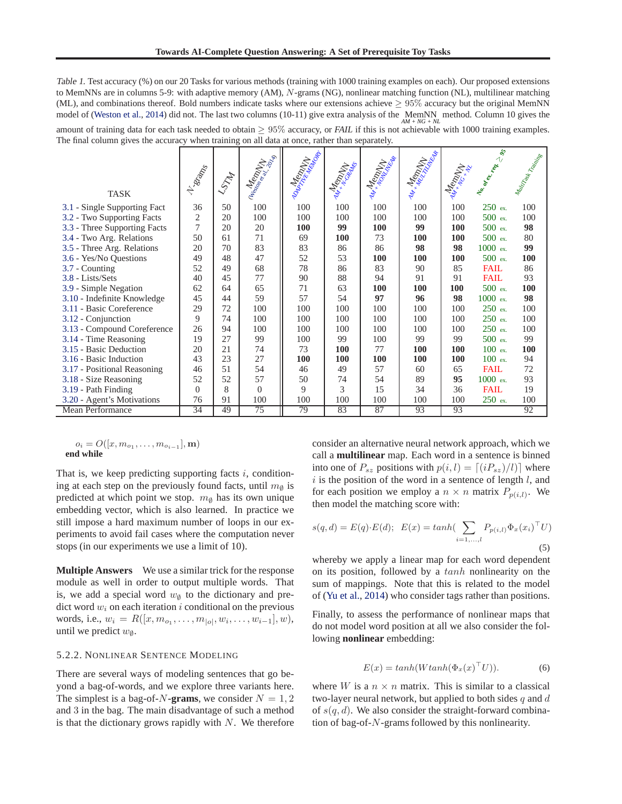<span id="page-6-0"></span>Table 1. Test accuracy (%) on our 20 Tasks for various methods (training with 1000 training examples on each). Our proposed extensions to MemNNs are in columns 5-9: with adaptive memory (AM), N-grams (NG), nonlinear matching function (NL), multilinear matching (ML), and combinations thereof. Bold numbers indicate tasks where our extensions achieve  $\geq 95\%$  accuracy but the original MemNN model of [\(Weston et al.,](#page-8-0) [2014](#page-8-0)) did not. The last two columns (10-11) give extra analysis of the MemNN method. Column 10 gives the amount of training data for each task needed to obtain ≥ 95% accuracy, or *FAIL* if this is not achievable with 1000 training examples. The final column gives the accuracy when training on all data at once, rather than separately.

| <b>TASK</b>                  | <b>N</b> Songo | LSTAT | <b>Messengent</b> |            |     | Remilitor R |     |            | Ne Cancer Railway | Mutrizok Teaming |
|------------------------------|----------------|-------|-------------------|------------|-----|-------------|-----|------------|-------------------|------------------|
| 3.1 - Single Supporting Fact | 36             | 50    | 100               | 100        | 100 | 100         | 100 | 100        | 250 ex.           | 100              |
| 3.2 - Two Supporting Facts   | 2              | 20    | 100               | 100        | 100 | 100         | 100 | 100        | $500$ ex.         | 100              |
| 3.3 - Three Supporting Facts | $\overline{7}$ | 20    | 20                | <b>100</b> | 99  | <b>100</b>  | 99  | 100        | $500$ ex.         | 98               |
| 3.4 - Two Arg. Relations     | 50             | 61    | 71                | 69         | 100 | 73          | 100 | 100        | $500$ ex.         | 80               |
| 3.5 - Three Arg. Relations   | 20             | 70    | 83                | 83         | 86  | 86          | 98  | 98         | 1000 ex.          | 99               |
| 3.6 - Yes/No Questions       | 49             | 48    | 47                | 52         | 53  | 100         | 100 | 100        | $500$ ex.         | 100              |
| 3.7 - Counting               | 52             | 49    | 68                | 78         | 86  | 83          | 90  | 85         | <b>FAIL</b>       | 86               |
| 3.8 - Lists/Sets             | 40             | 45    | 77                | 90         | 88  | 94          | 91  | 91         | <b>FAIL</b>       | 93               |
| 3.9 - Simple Negation        | 62             | 64    | 65                | 71         | 63  | 100         | 100 | <b>100</b> | $500$ ex.         | 100              |
| 3.10 - Indefinite Knowledge  | 45             | 44    | 59                | 57         | 54  | 97          | 96  | 98         | $1000$ ex.        | 98               |
| 3.11 - Basic Coreference     | 29             | 72    | 100               | 100        | 100 | 100         | 100 | 100        | $250$ ex.         | 100              |
| 3.12 - Conjunction           | 9              | 74    | 100               | 100        | 100 | 100         | 100 | 100        | 250 ex.           | 100              |
| 3.13 - Compound Coreference  | 26             | 94    | 100               | 100        | 100 | 100         | 100 | 100        | 250 ex.           | 100              |
| 3.14 - Time Reasoning        | 19             | 27    | 99                | 100        | 99  | 100         | 99  | 99         | 500 ex.           | 99               |
| 3.15 - Basic Deduction       | 20             | 21    | 74                | 73         | 100 | 77          | 100 | 100        | $100$ ex.         | 100              |
| 3.16 - Basic Induction       | 43             | 23    | 27                | 100        | 100 | 100         | 100 | 100        | $100$ ex.         | 94               |
| 3.17 - Positional Reasoning  | 46             | 51    | 54                | 46         | 49  | 57          | 60  | 65         | <b>FAIL</b>       | 72               |
| 3.18 - Size Reasoning        | 52             | 52    | 57                | 50         | 74  | 54          | 89  | 95         | $1000$ ex.        | 93               |
| 3.19 - Path Finding          | $\Omega$       | 8     | $\Omega$          | 9          | 3   | 15          | 34  | 36         | <b>FAIL</b>       | 19               |
| 3.20 - Agent's Motivations   | 76             | 91    | 100               | 100        | 100 | 100         | 100 | 100        | 250 ex.           | 100              |
| <b>Mean Performance</b>      | 34             | 49    | 75                | 79         | 83  | 87          | 93  | 93         |                   | 92               |

$$
o_i = O([x, m_{o_1}, \dots, m_{o_{i-1}}], \mathbf{m})
$$
  
end while

That is, we keep predicting supporting facts  $i$ , conditioning at each step on the previously found facts, until  $m_{\phi}$  is predicted at which point we stop.  $m_{\phi}$  has its own unique embedding vector, which is also learned. In practice we still impose a hard maximum number of loops in our experiments to avoid fail cases where the computation never stops (in our experiments we use a limit of 10).

**Multiple Answers** We use a similar trick for the response module as well in order to output multiple words. That is, we add a special word  $w_{\emptyset}$  to the dictionary and predict word  $w_i$  on each iteration i conditional on the previous words, i.e.,  $w_i = R([x, m_{o_1}, \dots, m_{|o|}, w_i, \dots, w_{i-1}], w)$ , until we predict  $w_{\emptyset}$ .

#### 5.2.2. NONLINEAR SENTENCE MODELING

There are several ways of modeling sentences that go beyond a bag-of-words, and we explore three variants here. The simplest is a bag-of-N-grams, we consider  $N = 1, 2$ and 3 in the bag. The main disadvantage of such a method is that the dictionary grows rapidly with  $N$ . We therefore

consider an alternative neural network approach, which we call a **multilinear** map. Each word in a sentence is binned into one of  $P_{sz}$  positions with  $p(i, l) = [(iP_{sz})/l)]$  where  $i$  is the position of the word in a sentence of length  $l$ , and for each position we employ a  $n \times n$  matrix  $P_{p(i,l)}$ . We then model the matching score with:

$$
s(q, d) = E(q) \cdot E(d); \ \ E(x) = tanh(\sum_{i=1,...,l} P_{p(i,l)} \Phi_x(x_i)^\top U)
$$
\n(5)

whereby we apply a linear map for each word dependent on its position, followed by a tanh nonlinearity on the sum of mappings. Note that this is related to the model of [\(Yu et al.](#page-9-0), [2014\)](#page-9-0) who consider tags rather than positions.

Finally, to assess the performance of nonlinear maps that do not model word position at all we also consider the following **nonlinear** embedding:

$$
E(x) = \tanh(W \tanh(\Phi_x(x)^\top U)).\tag{6}
$$

where W is a  $n \times n$  matrix. This is similar to a classical two-layer neural network, but applied to both sides  $q$  and  $d$ of  $s(q, d)$ . We also consider the straight-forward combination of bag-of-N-grams followed by this nonlinearity.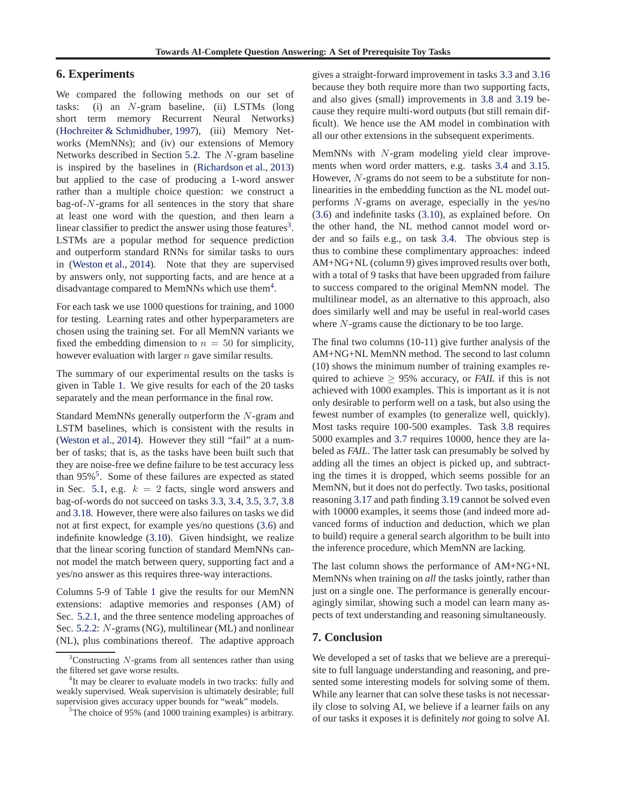# <span id="page-7-0"></span>**6. Experiments**

We compared the following methods on our set of tasks: (i) an N-gram baseline, (ii) LSTMs (long short term memory Recurrent Neural Networks) [\(Hochreiter & Schmidhuber,](#page-8-0) [1997](#page-8-0)), (iii) Memory Networks (MemNNs); and (iv) our extensions of Memory Networks described in Section [5.2.](#page-5-0) The N-gram baseline is inspired by the baselines in [\(Richardson et al.](#page-8-0), [2013](#page-8-0)) but applied to the case of producing a 1-word answer rather than a multiple choice question: we construct a bag-of- $N$ -grams for all sentences in the story that share at least one word with the question, and then learn a linear classifier to predict the answer using those features<sup>3</sup>. LSTMs are a popular method for sequence prediction and outperform standard RNNs for similar tasks to ours in [\(Weston et al.,](#page-8-0) [2014\)](#page-8-0). Note that they are supervised by answers only, not supporting facts, and are hence at a disadvantage compared to MemNNs which use them<sup>4</sup>.

For each task we use 1000 questions for training, and 1000 for testing. Learning rates and other hyperparameters are chosen using the training set. For all MemNN variants we fixed the embedding dimension to  $n = 50$  for simplicity, however evaluation with larger *n* gave similar results.

The summary of our experimental results on the tasks is given in Table [1.](#page-6-0) We give results for each of the 20 tasks separately and the mean performance in the final row.

Standard MemNNs generally outperform the N-gram and LSTM baselines, which is consistent with the results in [\(Weston et al.](#page-8-0), [2014](#page-8-0)). However they still "fail" at a number of tasks; that is, as the tasks have been built such that they are noise-free we define failure to be test accuracy less than 95%<sup>5</sup>. Some of these failures are expected as stated in Sec. [5.1,](#page-5-0) e.g.  $k = 2$  facts, single word answers and bag-of-words do not succeed on tasks [3.3,](#page-2-0) [3.4,](#page-2-0) [3.5,](#page-2-0) [3.7,](#page-2-0) [3.8](#page-2-0) and [3.18.](#page-4-0) However, there were also failures on tasks we did not at first expect, for example yes/no questions [\(3.6\)](#page-2-0) and indefinite knowledge [\(3.10\)](#page-3-0). Given hindsight, we realize that the linear scoring function of standard MemNNs cannot model the match between query, supporting fact and a yes/no answer as this requires three-way interactions.

Columns 5-9 of Table [1](#page-6-0) give the results for our MemNN extensions: adaptive memories and responses (AM) of Sec. [5.2.1,](#page-5-0) and the three sentence modeling approaches of Sec. [5.2.2:](#page-6-0) N-grams (NG), multilinear (ML) and nonlinear (NL), plus combinations thereof. The adaptive approach gives a straight-forward improvement in tasks [3.3](#page-2-0) and [3.16](#page-3-0) because they both require more than two supporting facts, and also gives (small) improvements in [3.8](#page-2-0) and [3.19](#page-4-0) because they require multi-word outputs (but still remain difficult). We hence use the AM model in combination with all our other extensions in the subsequent experiments.

MemNNs with N-gram modeling yield clear improvements when word order matters, e.g. tasks [3.4](#page-2-0) and [3.15.](#page-3-0) However, N-grams do not seem to be a substitute for nonlinearities in the embedding function as the NL model outperforms N-grams on average, especially in the yes/no [\(3.6\)](#page-2-0) and indefinite tasks [\(3.10\)](#page-3-0), as explained before. On the other hand, the NL method cannot model word order and so fails e.g., on task [3.4.](#page-2-0) The obvious step is thus to combine these complimentary approaches: indeed AM+NG+NL (column 9) gives improved results over both, with a total of 9 tasks that have been upgraded from failure to success compared to the original MemNN model. The multilinear model, as an alternative to this approach, also does similarly well and may be useful in real-world cases where  $N$ -grams cause the dictionary to be too large.

The final two columns (10-11) give further analysis of the AM+NG+NL MemNN method. The second to last column (10) shows the minimum number of training examples required to achieve  $\geq$  95% accuracy, or *FAIL* if this is not achieved with 1000 examples. This is important as it is not only desirable to perform well on a task, but also using the fewest number of examples (to generalize well, quickly). Most tasks require 100-500 examples. Task [3.8](#page-2-0) requires 5000 examples and [3.7](#page-2-0) requires 10000, hence they are labeled as *FAIL*. The latter task can presumably be solved by adding all the times an object is picked up, and subtracting the times it is dropped, which seems possible for an MemNN, but it does not do perfectly. Two tasks, positional reasoning [3.17](#page-3-0) and path finding [3.19](#page-4-0) cannot be solved even with 10000 examples, it seems those (and indeed more advanced forms of induction and deduction, which we plan to build) require a general search algorithm to be built into the inference procedure, which MemNN are lacking.

The last column shows the performance of AM+NG+NL MemNNs when training on *all* the tasks jointly, rather than just on a single one. The performance is generally encouragingly similar, showing such a model can learn many aspects of text understanding and reasoning simultaneously.

# **7. Conclusion**

We developed a set of tasks that we believe are a prerequisite to full language understanding and reasoning, and presented some interesting models for solving some of them. While any learner that can solve these tasks is not necessarily close to solving AI, we believe if a learner fails on any of our tasks it exposes it is definitely *not* going to solve AI.

Constructing  $N$ -grams from all sentences rather than using the filtered set gave worse results.

<sup>&</sup>lt;sup>4</sup>It may be clearer to evaluate models in two tracks: fully and weakly supervised. Weak supervision is ultimately desirable; full supervision gives accuracy upper bounds for "weak" models.

<sup>&</sup>lt;sup>5</sup>The choice of 95% (and 1000 training examples) is arbitrary.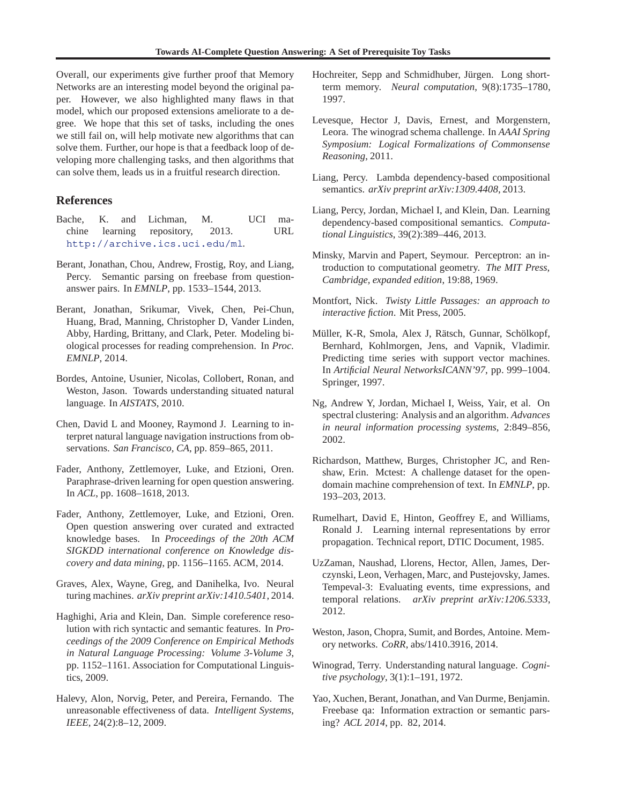<span id="page-8-0"></span>Overall, our experiments give further proof that Memory Networks are an interesting model beyond the original paper. However, we also highlighted many flaws in that model, which our proposed extensions ameliorate to a degree. We hope that this set of tasks, including the ones we still fail on, will help motivate new algorithms that can solve them. Further, our hope is that a feedback loop of developing more challenging tasks, and then algorithms that can solve them, leads us in a fruitful research direction.

# **References**

- Bache, K. and Lichman, M. UCI machine learning repository, 2013. URL <http://archive.ics.uci.edu/ml>.
- Berant, Jonathan, Chou, Andrew, Frostig, Roy, and Liang, Percy. Semantic parsing on freebase from questionanswer pairs. In *EMNLP*, pp. 1533–1544, 2013.
- Berant, Jonathan, Srikumar, Vivek, Chen, Pei-Chun, Huang, Brad, Manning, Christopher D, Vander Linden, Abby, Harding, Brittany, and Clark, Peter. Modeling biological processes for reading comprehension. In *Proc. EMNLP*, 2014.
- Bordes, Antoine, Usunier, Nicolas, Collobert, Ronan, and Weston, Jason. Towards understanding situated natural language. In *AISTATS*, 2010.
- Chen, David L and Mooney, Raymond J. Learning to interpret natural language navigation instructions from observations. *San Francisco, CA*, pp. 859–865, 2011.
- Fader, Anthony, Zettlemoyer, Luke, and Etzioni, Oren. Paraphrase-driven learning for open question answering. In *ACL*, pp. 1608–1618, 2013.
- Fader, Anthony, Zettlemoyer, Luke, and Etzioni, Oren. Open question answering over curated and extracted knowledge bases. In *Proceedings of the 20th ACM SIGKDD international conference on Knowledge discovery and data mining*, pp. 1156–1165. ACM, 2014.
- Graves, Alex, Wayne, Greg, and Danihelka, Ivo. Neural turing machines. *arXiv preprint arXiv:1410.5401*, 2014.
- Haghighi, Aria and Klein, Dan. Simple coreference resolution with rich syntactic and semantic features. In *Proceedings of the 2009 Conference on Empirical Methods in Natural Language Processing: Volume 3-Volume 3*, pp. 1152–1161. Association for Computational Linguistics, 2009.
- Halevy, Alon, Norvig, Peter, and Pereira, Fernando. The unreasonable effectiveness of data. *Intelligent Systems, IEEE*, 24(2):8–12, 2009.
- Hochreiter, Sepp and Schmidhuber, Jürgen. Long shortterm memory. *Neural computation*, 9(8):1735–1780, 1997.
- Levesque, Hector J, Davis, Ernest, and Morgenstern, Leora. The winograd schema challenge. In *AAAI Spring Symposium: Logical Formalizations of Commonsense Reasoning*, 2011.
- Liang, Percy. Lambda dependency-based compositional semantics. *arXiv preprint arXiv:1309.4408*, 2013.
- Liang, Percy, Jordan, Michael I, and Klein, Dan. Learning dependency-based compositional semantics. *Computational Linguistics*, 39(2):389–446, 2013.
- Minsky, Marvin and Papert, Seymour. Perceptron: an introduction to computational geometry. *The MIT Press, Cambridge, expanded edition*, 19:88, 1969.
- Montfort, Nick. *Twisty Little Passages: an approach to interactive fiction*. Mit Press, 2005.
- Müller, K-R, Smola, Alex J, Rätsch, Gunnar, Schölkopf, Bernhard, Kohlmorgen, Jens, and Vapnik, Vladimir. Predicting time series with support vector machines. In *Artificial Neural NetworksICANN'97*, pp. 999–1004. Springer, 1997.
- Ng, Andrew Y, Jordan, Michael I, Weiss, Yair, et al. On spectral clustering: Analysis and an algorithm. *Advances in neural information processing systems*, 2:849–856, 2002.
- Richardson, Matthew, Burges, Christopher JC, and Renshaw, Erin. Mctest: A challenge dataset for the opendomain machine comprehension of text. In *EMNLP*, pp. 193–203, 2013.
- Rumelhart, David E, Hinton, Geoffrey E, and Williams, Ronald J. Learning internal representations by error propagation. Technical report, DTIC Document, 1985.
- UzZaman, Naushad, Llorens, Hector, Allen, James, Derczynski, Leon, Verhagen, Marc, and Pustejovsky, James. Tempeval-3: Evaluating events, time expressions, and temporal relations. *arXiv preprint arXiv:1206.5333*, 2012.
- Weston, Jason, Chopra, Sumit, and Bordes, Antoine. Memory networks. *CoRR*, abs/1410.3916, 2014.
- Winograd, Terry. Understanding natural language. *Cognitive psychology*, 3(1):1–191, 1972.
- Yao, Xuchen, Berant, Jonathan, and Van Durme, Benjamin. Freebase qa: Information extraction or semantic parsing? *ACL 2014*, pp. 82, 2014.